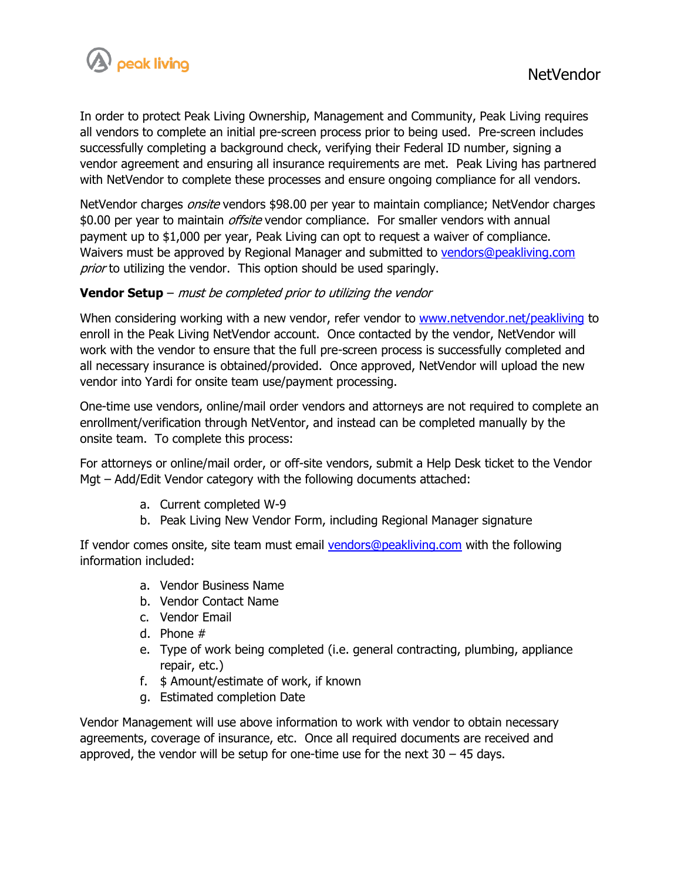

In order to protect Peak Living Ownership, Management and Community, Peak Living requires all vendors to complete an initial pre-screen process prior to being used. Pre-screen includes successfully completing a background check, verifying their Federal ID number, signing a vendor agreement and ensuring all insurance requirements are met. Peak Living has partnered with NetVendor to complete these processes and ensure ongoing compliance for all vendors.

NetVendor charges *onsite* vendors \$98.00 per year to maintain compliance; NetVendor charges \$0.00 per year to maintain *offsite* vendor compliance. For smaller vendors with annual payment up to \$1,000 per year, Peak Living can opt to request a waiver of compliance. Waivers must be approved by Regional Manager and submitted to [vendors@peakliving.com](mailto:vendors@peakliving.com) prior to utilizing the vendor. This option should be used sparingly.

## **Vendor Setup** – must be completed prior to utilizing the vendor

When considering working with a new vendor, refer vendor to [www.netvendor.net/peakliving](http://www.netvendor.net/peakliving) to enroll in the Peak Living NetVendor account. Once contacted by the vendor, NetVendor will work with the vendor to ensure that the full pre-screen process is successfully completed and all necessary insurance is obtained/provided. Once approved, NetVendor will upload the new vendor into Yardi for onsite team use/payment processing.

One-time use vendors, online/mail order vendors and attorneys are not required to complete an enrollment/verification through NetVentor, and instead can be completed manually by the onsite team. To complete this process:

For attorneys or online/mail order, or off-site vendors, submit a Help Desk ticket to the Vendor Mgt – Add/Edit Vendor category with the following documents attached:

- a. Current completed W-9
- b. Peak Living New Vendor Form, including Regional Manager signature

If vendor comes onsite, site team must email [vendors@peakliving.com](mailto:vendors@peakliving.com) with the following information included:

- a. Vendor Business Name
- b. Vendor Contact Name
- c. Vendor Email
- d. Phone #
- e. Type of work being completed (i.e. general contracting, plumbing, appliance repair, etc.)
- f. \$ Amount/estimate of work, if known
- g. Estimated completion Date

Vendor Management will use above information to work with vendor to obtain necessary agreements, coverage of insurance, etc. Once all required documents are received and approved, the vendor will be setup for one-time use for the next  $30 - 45$  days.